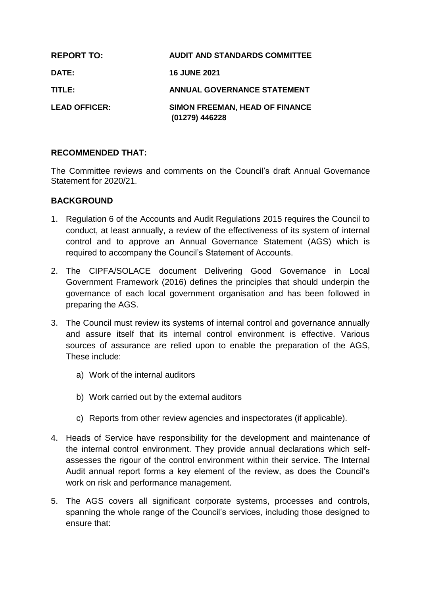| <b>REPORT TO:</b>    | <b>AUDIT AND STANDARDS COMMITTEE</b>                    |
|----------------------|---------------------------------------------------------|
| <b>DATE:</b>         | <b>16 JUNE 2021</b>                                     |
| TITLE:               | <b>ANNUAL GOVERNANCE STATEMENT</b>                      |
| <b>LEAD OFFICER:</b> | <b>SIMON FREEMAN, HEAD OF FINANCE</b><br>(01279) 446228 |

# **RECOMMENDED THAT:**

The Committee reviews and comments on the Council's draft Annual Governance Statement for 2020/21.

# **BACKGROUND**

- 1. Regulation 6 of the Accounts and Audit Regulations 2015 requires the Council to conduct, at least annually, a review of the effectiveness of its system of internal control and to approve an Annual Governance Statement (AGS) which is required to accompany the Council's Statement of Accounts.
- 2. The CIPFA/SOLACE document Delivering Good Governance in Local Government Framework (2016) defines the principles that should underpin the governance of each local government organisation and has been followed in preparing the AGS.
- 3. The Council must review its systems of internal control and governance annually and assure itself that its internal control environment is effective. Various sources of assurance are relied upon to enable the preparation of the AGS, These include:
	- a) Work of the internal auditors
	- b) Work carried out by the external auditors
	- c) Reports from other review agencies and inspectorates (if applicable).
- 4. Heads of Service have responsibility for the development and maintenance of the internal control environment. They provide annual declarations which selfassesses the rigour of the control environment within their service. The Internal Audit annual report forms a key element of the review, as does the Council's work on risk and performance management.
- 5. The AGS covers all significant corporate systems, processes and controls, spanning the whole range of the Council's services, including those designed to ensure that: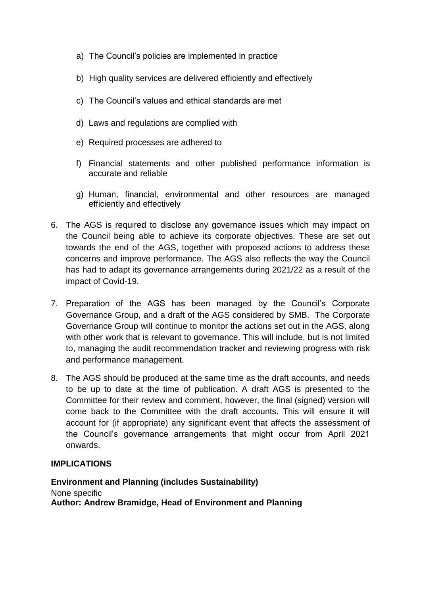- a) The Council's policies are implemented in practice
- b) High quality services are delivered efficiently and effectively
- c) The Council's values and ethical standards are met
- d) Laws and regulations are complied with
- e) Required processes are adhered to
- f) Financial statements and other published performance information is accurate and reliable
- g) Human, financial, environmental and other resources are managed efficiently and effectively
- 6. The AGS is required to disclose any governance issues which may impact on the Council being able to achieve its corporate objectives. These are set out towards the end of the AGS, together with proposed actions to address these concerns and improve performance. The AGS also reflects the way the Council has had to adapt its governance arrangements during 2021/22 as a result of the impact of Covid-19.
- 7. Preparation of the AGS has been managed by the Council's Corporate Governance Group, and a draft of the AGS considered by SMB. The Corporate Governance Group will continue to monitor the actions set out in the AGS, along with other work that is relevant to governance. This will include, but is not limited to, managing the audit recommendation tracker and reviewing progress with risk and performance management.
- 8. The AGS should be produced at the same time as the draft accounts, and needs to be up to date at the time of publication. A draft AGS is presented to the Committee for their review and comment, however, the final (signed) version will come back to the Committee with the draft accounts. This will ensure it will account for (if appropriate) any significant event that affects the assessment of the Council's governance arrangements that might occur from April 2021 onwards.

## **IMPLICATIONS**

**Environment and Planning (includes Sustainability)** None specific **Author: Andrew Bramidge, Head of Environment and Planning**